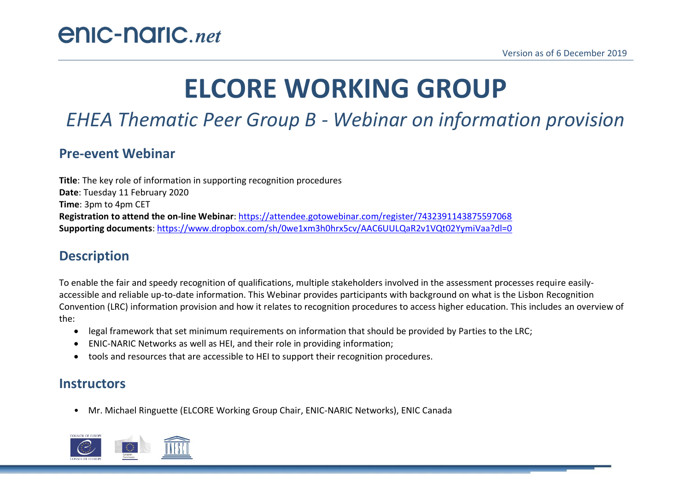# **ELCORE WORKING GROUP**

# *EHEA Thematic Peer Group B - Webinar on information provision*

#### **Pre-event Webinar**

**Title**: The key role of information in supporting recognition procedures **Date**: Tuesday 11 February 2020 **Time**: 3pm to 4pm CET **Registration to attend the on-line Webinar**[: https://attendee.gotowebinar.com/register/7432391143875597068](https://attendee.gotowebinar.com/register/7432391143875597068) **Supporting documents**:<https://www.dropbox.com/sh/0we1xm3h0hrx5cv/AAC6UULQaR2v1VQt02YymiVaa?dl=0>

# **Description**

To enable the fair and speedy recognition of qualifications, multiple stakeholders involved in the assessment processes require easilyaccessible and reliable up-to-date information. This Webinar provides participants with background on what is the Lisbon Recognition Convention (LRC) information provision and how it relates to recognition procedures to access higher education. This includes an overview of the:

- legal framework that set minimum requirements on information that should be provided by Parties to the LRC;
- ENIC-NARIC Networks as well as HEI, and their role in providing information;
- tools and resources that are accessible to HEI to support their recognition procedures.

#### **Instructors**

• Mr. Michael Ringuette (ELCORE Working Group Chair, ENIC-NARIC Networks), ENIC Canada

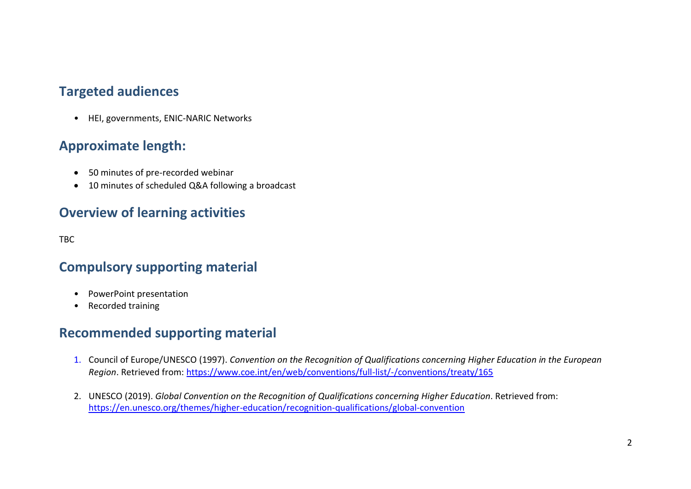#### **Targeted audiences**

• HEI, governments, ENIC-NARIC Networks

# **Approximate length:**

- 50 minutes of pre-recorded webinar
- 10 minutes of scheduled Q&A following a broadcast

## **Overview of learning activities**

TBC

## **Compulsory supporting material**

- PowerPoint presentation
- Recorded training

## **Recommended supporting material**

- 1. Council of Europe/UNESCO (1997). *Convention on the Recognition of Qualifications concerning Higher Education in the European Region*. Retrieved from[: https://www.coe.int/en/web/conventions/full-list/-/conventions/treaty/165](https://www.coe.int/en/web/conventions/full-list/-/conventions/treaty/165)
- 2. UNESCO (2019). *Global Convention on the Recognition of Qualifications concerning Higher Education*. Retrieved from: <https://en.unesco.org/themes/higher-education/recognition-qualifications/global-convention>